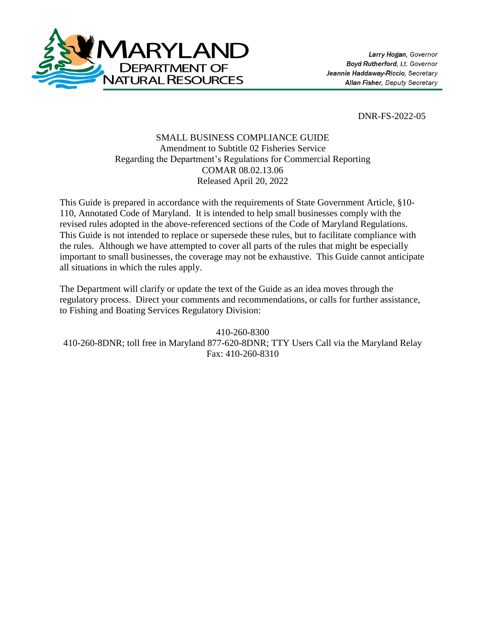

DNR-FS-2022-05

## SMALL BUSINESS COMPLIANCE GUIDE Amendment to Subtitle 02 Fisheries Service Regarding the Department's Regulations for Commercial Reporting COMAR 08.02.13.06 Released April 20, 2022

This Guide is prepared in accordance with the requirements of State Government Article, §10- 110, Annotated Code of Maryland. It is intended to help small businesses comply with the revised rules adopted in the above-referenced sections of the Code of Maryland Regulations. This Guide is not intended to replace or supersede these rules, but to facilitate compliance with the rules. Although we have attempted to cover all parts of the rules that might be especially important to small businesses, the coverage may not be exhaustive. This Guide cannot anticipate all situations in which the rules apply.

The Department will clarify or update the text of the Guide as an idea moves through the regulatory process. Direct your comments and recommendations, or calls for further assistance, to Fishing and Boating Services Regulatory Division:

410-260-8300 410-260-8DNR; toll free in Maryland 877-620-8DNR; TTY Users Call via the Maryland Relay Fax: 410-260-8310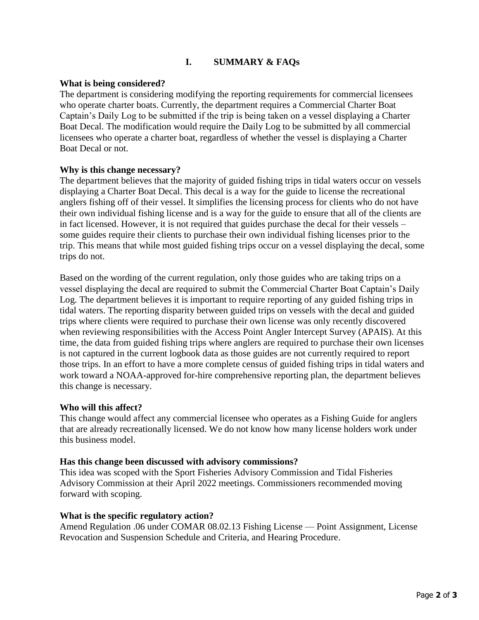# **I. SUMMARY & FAQs**

### **What is being considered?**

The department is considering modifying the reporting requirements for commercial licensees who operate charter boats. Currently, the department requires a Commercial Charter Boat Captain's Daily Log to be submitted if the trip is being taken on a vessel displaying a Charter Boat Decal. The modification would require the Daily Log to be submitted by all commercial licensees who operate a charter boat, regardless of whether the vessel is displaying a Charter Boat Decal or not.

### **Why is this change necessary?**

The department believes that the majority of guided fishing trips in tidal waters occur on vessels displaying a Charter Boat Decal. This decal is a way for the guide to license the recreational anglers fishing off of their vessel. It simplifies the licensing process for clients who do not have their own individual fishing license and is a way for the guide to ensure that all of the clients are in fact licensed. However, it is not required that guides purchase the decal for their vessels – some guides require their clients to purchase their own individual fishing licenses prior to the trip. This means that while most guided fishing trips occur on a vessel displaying the decal, some trips do not.

Based on the wording of the current regulation, only those guides who are taking trips on a vessel displaying the decal are required to submit the Commercial Charter Boat Captain's Daily Log. The department believes it is important to require reporting of any guided fishing trips in tidal waters. The reporting disparity between guided trips on vessels with the decal and guided trips where clients were required to purchase their own license was only recently discovered when reviewing responsibilities with the Access Point Angler Intercept Survey (APAIS). At this time, the data from guided fishing trips where anglers are required to purchase their own licenses is not captured in the current logbook data as those guides are not currently required to report those trips. In an effort to have a more complete census of guided fishing trips in tidal waters and work toward a NOAA-approved for-hire comprehensive reporting plan, the department believes this change is necessary.

#### **Who will this affect?**

This change would affect any commercial licensee who operates as a Fishing Guide for anglers that are already recreationally licensed. We do not know how many license holders work under this business model.

#### **Has this change been discussed with advisory commissions?**

This idea was scoped with the Sport Fisheries Advisory Commission and Tidal Fisheries Advisory Commission at their April 2022 meetings. Commissioners recommended moving forward with scoping.

#### **What is the specific regulatory action?**

Amend Regulation .06 under COMAR 08.02.13 Fishing License — Point Assignment, License Revocation and Suspension Schedule and Criteria, and Hearing Procedure.